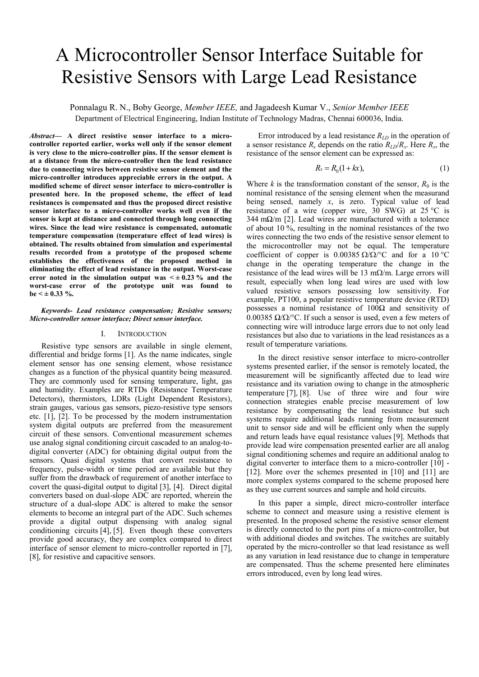# A Microcontroller Sensor Interface Suitable for Resistive Sensors with Large Lead Resistance

Ponnalagu R. N., Boby George, *Member IEEE,* and Jagadeesh Kumar V., *Senior Member IEEE* Department of Electrical Engineering, Indian Institute of Technology Madras, Chennai 600036, India.

*Abstract***— A direct resistive sensor interface to a microcontroller reported earlier, works well only if the sensor element is very close to the micro-controller pins. If the sensor element is at a distance from the micro-controller then the lead resistance due to connecting wires between resistive sensor element and the micro-controller introduces appreciable errors in the output. A modified scheme of direct sensor interface to micro-controller is presented here. In the proposed scheme, the effect of lead resistances is compensated and thus the proposed direct resistive sensor interface to a micro-controller works well even if the sensor is kept at distance and connected through long connecting wires. Since the lead wire resistance is compensated, automatic temperature compensation (temperature effect of lead wires) is obtained. The results obtained from simulation and experimental results recorded from a prototype of the proposed scheme establishes the effectiveness of the proposed method in eliminating the effect of lead resistance in the output. Worst-case**  error noted in the simulation output was  $\leq \pm 0.23$  % and the **worst-case error of the prototype unit was found to**   $be < \pm 0.33$  %.

*Keywords- Lead resistance compensation; Resistive sensors; Micro-controller sensor interface; Direct sensor interface.* 

# I. INTRODUCTION

 Resistive type sensors are available in single element, differential and bridge forms [1]. As the name indicates, single element sensor has one sensing element, whose resistance changes as a function of the physical quantity being measured. They are commonly used for sensing temperature, light, gas and humidity. Examples are RTDs (Resistance Temperature Detectors), thermistors, LDRs (Light Dependent Resistors), strain gauges, various gas sensors, piezo-resistive type sensors etc. [1], [2]. To be processed by the modern instrumentation system digital outputs are preferred from the measurement circuit of these sensors. Conventional measurement schemes use analog signal conditioning circuit cascaded to an analog-todigital converter (ADC) for obtaining digital output from the sensors. Quasi digital systems that convert resistance to frequency, pulse-width or time period are available but they suffer from the drawback of requirement of another interface to covert the quasi-digital output to digital [3], [4]. Direct digital converters based on dual-slope ADC are reported, wherein the structure of a dual-slope ADC is altered to make the sensor elements to become an integral part of the ADC. Such schemes provide a digital output dispensing with analog signal conditioning circuits [4], [5]. Even though these converters provide good accuracy, they are complex compared to direct interface of sensor element to micro-controller reported in [7], [8], for resistive and capacitive sensors.

Error introduced by a lead resistance *RLD* in the operation of a sensor resistance  $R_x$  depends on the ratio  $R_{LD}/R_x$ . Here  $R_x$ , the resistance of the sensor element can be expressed as:

$$
R_x = R_0(1 + kx),\tag{1}
$$

Where  $k$  is the transformation constant of the sensor,  $R_0$  is the nominal resistance of the sensing element when the measurand being sensed, namely *x*, is zero. Typical value of lead resistance of a wire (copper wire,  $30$  SWG) at  $25^{\circ}$ C is 344 mΩ/m [2]. Lead wires are manufactured with a tolerance of about  $10\%$ , resulting in the nominal resistances of the two wires connecting the two ends of the resistive sensor element to the microcontroller may not be equal. The temperature coefficient of copper is  $0.00385 \Omega/\Omega$ <sup>o</sup>C and for a 10 <sup>o</sup>C change in the operating temperature the change in the resistance of the lead wires will be 13 m $\Omega/m$ . Large errors will result, especially when long lead wires are used with low valued resistive sensors possessing low sensitivity. For example, PT100, a popular resistive temperature device (RTD) possesses a nominal resistance of 100Ω and sensitivity of 0.00385 Ω/Ω/°C. If such a sensor is used, even a few meters of connecting wire will introduce large errors due to not only lead resistances but also due to variations in the lead resistances as a result of temperature variations.

In the direct resistive sensor interface to micro-controller systems presented earlier, if the sensor is remotely located, the measurement will be significantly affected due to lead wire resistance and its variation owing to change in the atmospheric temperature [7], [8]. Use of three wire and four wire connection strategies enable precise measurement of low resistance by compensating the lead resistance but such systems require additional leads running from measurement unit to sensor side and will be efficient only when the supply and return leads have equal resistance values [9]. Methods that provide lead wire compensation presented earlier are all analog signal conditioning schemes and require an additional analog to digital converter to interface them to a micro-controller [10] - [12]. More over the schemes presented in [10] and [11] are more complex systems compared to the scheme proposed here as they use current sources and sample and hold circuits.

In this paper a simple, direct micro-controller interface scheme to connect and measure using a resistive element is presented. In the proposed scheme the resistive sensor element is directly connected to the port pins of a micro-controller, but with additional diodes and switches. The switches are suitably operated by the micro-controller so that lead resistance as well as any variation in lead resistance due to change in temperature are compensated. Thus the scheme presented here eliminates errors introduced, even by long lead wires.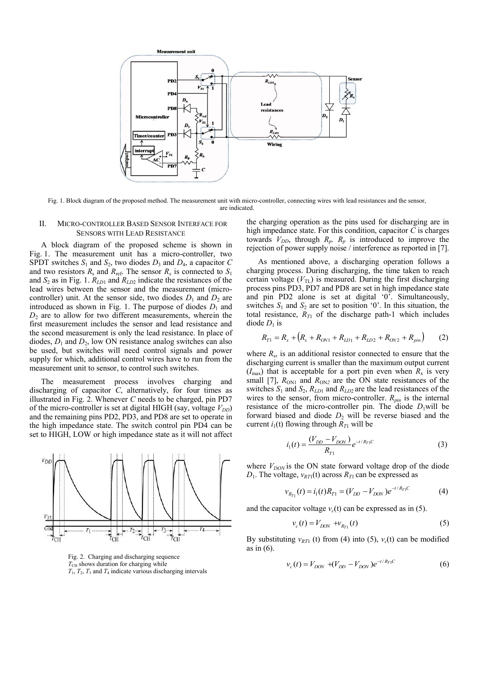

Fig. 1. Block diagram of the proposed method. The measurement unit with micro-controller, connecting wires with lead resistances and the sensor, are indicated.

# II. MICRO-CONTROLLER BASED SENSOR INTERFACE FOR SENSORS WITH LEAD RESISTANCE

A block diagram of the proposed scheme is shown in Fig. 1. The measurement unit has a micro-controller, two SPDT switches  $S_1$  and  $S_2$ , two diodes  $D_3$  and  $D_4$ , a capacitor  $C$ and two resistors  $R_s$  and  $R_{ref}$ . The sensor  $R_x$  is connected to  $S_1$ and *S*2 as in Fig. 1. *RLD*1 and *RLD*2 indicate the resistances of the lead wires between the sensor and the measurement (microcontroller) unit. At the sensor side, two diodes  $D_1$  and  $D_2$  are introduced as shown in Fig. 1. The purpose of diodes  $D_1$  and  $D<sub>2</sub>$  are to allow for two different measurements, wherein the first measurement includes the sensor and lead resistance and the second measurement is only the lead resistance. In place of diodes,  $D_1$  and  $D_2$ , low ON resistance analog switches can also be used, but switches will need control signals and power supply for which, additional control wires have to run from the measurement unit to sensor, to control such switches.

The measurement process involves charging and discharging of capacitor *C*, alternatively, for four times as illustrated in Fig. 2. Whenever *C* needs to be charged, pin PD7 of the micro-controller is set at digital HIGH (say, voltage  $V_{DD}$ ) and the remaining pins PD2, PD3, and PD8 are set to operate in the high impedance state. The switch control pin PD4 can be set to HIGH, LOW or high impedance state as it will not affect



Fig. 2. Charging and discharging sequence  $T_{\text{CH}}$  shows duration for charging while  $T_1$ ,  $T_2$ ,  $T_3$  and  $T_4$  indicate various discharging intervals

the charging operation as the pins used for discharging are in high impedance state. For this condition, capacitor *C* is charges towards  $V_{DD}$ , through  $R_p$ .  $R_p$  is introduced to improve the rejection of power supply noise / interference as reported in [7].

As mentioned above, a discharging operation follows a charging process. During discharging, the time taken to reach certain voltage  $(V_{\text{TL}})$  is measured. During the first discharging process pins PD3, PD7 and PD8 are set in high impedance state and pin PD2 alone is set at digital '0'. Simultaneously, switches  $S_1$  and  $S_2$  are set to position '0'. In this situation, the total resistance,  $R_{T1}$  of the discharge path-1 which includes diode  $D_1$  is

$$
R_{T1} = R_x + (R_s + R_{ON1} + R_{LD1} + R_{LD2} + R_{ON2} + R_{pin})
$$
 (2)

where  $R_s$ , is an additional resistor connected to ensure that the discharging current is smaller than the maximum output current  $(I<sub>max</sub>)$  that is acceptable for a port pin even when  $R<sub>x</sub>$  is very small [7],  $R_{ON1}$  and  $R_{ON2}$  are the ON state resistances of the switches  $S_1$  and  $S_2$ ,  $R_{LD1}$  and  $R_{LD2}$  are the lead resistances of the wires to the sensor, from micro-controller. *Rpin* is the internal resistance of the micro-controller pin. The diode  $D_1$  will be forward biased and diode  $D_2$  will be reverse biased and the current  $i_1(t)$  flowing through  $R_{T1}$  will be

$$
i_1(t) = \frac{(V_{DD} - V_{DON})}{R_{T1}} e^{-t/R_{T1}C}
$$
 (3)

where  $V_{DON}$  is the ON state forward voltage drop of the diode  $D_1$ . The voltage,  $v_{RT1}(t)$  across  $R_{T1}$  can be expressed as

$$
v_{R_{T_1}}(t) = i_1(t)R_{T_1} = (V_{DD} - V_{DON})e^{-t/R_{T_1}C}
$$
 (4)

and the capacitor voltage  $v_c(t)$  can be expressed as in (5).

$$
v_c(t) = V_{DON} + v_{R_{T1}}(t)
$$
\n(5)

By substituting  $v_{RT1}$  (t) from (4) into (5),  $v_c(t)$  can be modified as in (6).

$$
v_c(t) = V_{DON} + (V_{DD} - V_{DON})e^{-t/R_{T1}C}
$$
 (6)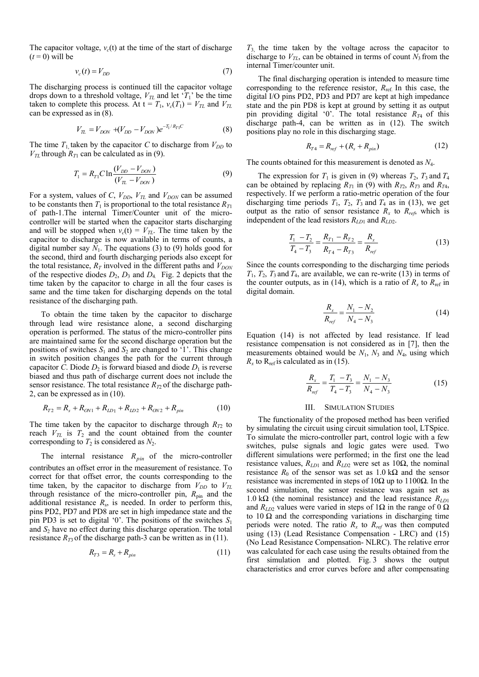The capacitor voltage,  $v_c(t)$  at the time of the start of discharge  $(t = 0)$  will be

$$
v_c(t) = V_{DD} \tag{7}
$$

The discharging process is continued till the capacitor voltage drops down to a threshold voltage,  $V_{TL}$  and let ' $T_1$ ' be the time taken to complete this process. At  $t = T_1$ ,  $v_c(T_1) = V_{TL}$  and  $V_{TL}$ can be expressed as in (8).

$$
V_{TL} = V_{DON} + (V_{DD} - V_{DON})e^{-T_1/R_{T1}C}
$$
 (8)

The time  $T_1$  taken by the capacitor *C* to discharge from  $V_{DD}$  to  $V_{TL}$  through  $R_{T1}$  can be calculated as in (9).

$$
T_1 = R_{T1} C \ln \frac{(V_{DD} - V_{DON})}{(V_{T1} - V_{DON})}
$$
\n(9)

For a system, values of *C*,  $V_{DD}$ ,  $V_{TL}$  and  $V_{DON}$  can be assumed to be constants then  $T_1$  is proportional to the total resistance  $R_{T_1}$ of path-1.The internal Timer/Counter unit of the microcontroller will be started when the capacitor starts discharging and will be stopped when  $v_c(t) = V_{TL}$ . The time taken by the capacitor to discharge is now available in terms of counts, a digital number say  $N_1$ . The equations (3) to (9) holds good for the second, third and fourth discharging periods also except for the total resistance,  $R_T$  involved in the different paths and  $V_{DON}$ of the respective diodes  $D_2$ ,  $D_3$  and  $D_4$ . Fig. 2 depicts that the time taken by the capacitor to charge in all the four cases is same and the time taken for discharging depends on the total resistance of the discharging path.

To obtain the time taken by the capacitor to discharge through lead wire resistance alone, a second discharging operation is performed. The status of the micro-controller pins are maintained same for the second discharge operation but the positions of switches  $S_1$  and  $S_2$  are changed to '1'. This change in switch position changes the path for the current through capacitor *C*. Diode  $D_2$  is forward biased and diode  $D_1$  is reverse biased and thus path of discharge current does not include the sensor resistance. The total resistance  $R<sub>T2</sub>$  of the discharge path-2, can be expressed as in (10).

$$
R_{T2} = R_s + R_{ON1} + R_{LD1} + R_{LD2} + R_{ON2} + R_{pin}
$$
 (10)

The time taken by the capacitor to discharge through  $R_{T2}$  to reach  $V_{TL}$  is  $T_2$  and the count obtained from the counter corresponding to  $T_2$  is considered as  $N_2$ .

The internal resistance *Rpin* of the micro-controller contributes an offset error in the measurement of resistance. To correct for that offset error, the counts corresponding to the time taken, by the capacitor to discharge from  $V_{DD}$  to  $V_{TL}$ through resistance of the micro-controller pin,  $R_{\text{pin}}$  and the additional resistance *R*<sup>s</sup> , is needed. In order to perform this, pins PD2, PD7 and PD8 are set in high impedance state and the pin PD3 is set to digital "0". The positions of the switches *S*<sup>1</sup> and *S*2 have no effect during this discharge operation. The total resistance  $R_{T3}$  of the discharge path-3 can be written as in (11).

$$
R_{T3} = R_s + R_{pin} \tag{11}
$$

*T*3, the time taken by the voltage across the capacitor to discharge to  $V_{TL}$ , can be obtained in terms of count  $N_3$  from the internal Timer/counter unit.

The final discharging operation is intended to measure time corresponding to the reference resistor,  $R_{ref}$  In this case, the digital I/O pins PD2, PD3 and PD7 are kept at high impedance state and the pin PD8 is kept at ground by setting it as output pin providing digital '0'. The total resistance  $R_{T4}$  of this discharge path-4, can be written as in (12). The switch positions play no role in this discharging stage.

$$
R_{T4} = R_{ref} + (R_s + R_{pin})
$$
 (12)

The counts obtained for this measurement is denoted as *N*4.

The expression for  $T_1$  is given in (9) whereas  $T_2$ ,  $T_3$  and  $T_4$ can be obtained by replacing  $R_{T1}$  in (9) with  $R_{T2}$ ,  $R_{T3}$  and  $R_{T4}$ , respectively. If we perform a ratio-metric operation of the four discharging time periods  $T_1$ ,  $T_2$ ,  $T_3$  and  $T_4$  as in (13), we get output as the ratio of sensor resistance  $R_x$  to  $R_{ref}$ , which is independent of the lead resistors  $R_{LD1}$  and  $R_{LD2}$ .

$$
\frac{T_1 - T_2}{T_4 - T_3} = \frac{R_{T_1} - R_{T_2}}{R_{T_4} - R_{T_3}} = \frac{R_x}{R_{ref}}
$$
(13)

Since the counts corresponding to the discharging time periods  $T_1$ ,  $T_2$ ,  $T_3$  and  $T_4$ , are available, we can re-write (13) in terms of the counter outputs, as in (14), which is a ratio of  $R_x$  to  $R_{ref}$  in digital domain.

$$
\frac{R_x}{R_{ref}} = \frac{N_1 - N_2}{N_4 - N_3} \tag{14}
$$

Equation (14) is not affected by lead resistance. If lead resistance compensation is not considered as in [7], then the measurements obtained would be  $N_1$ ,  $N_3$  and  $N_4$ , using which  $R_x$  to  $R_{ref}$  is calculated as in (15).

$$
\frac{R_x}{R_{ref}} = \frac{T_1 - T_3}{T_4 - T_3} = \frac{N_1 - N_3}{N_4 - N_3}
$$
(15)

## III. SIMULATION STUDIES

The functionality of the proposed method has been verified by simulating the circuit using circuit simulation tool, LTSpice. To simulate the micro-controller part, control logic with a few switches, pulse signals and logic gates were used. Two different simulations were performed; in the first one the lead resistance values,  $R_{LD1}$  and  $R_{LD2}$  were set as 10 $\Omega$ , the nominal resistance  $R_0$  of the sensor was set as  $1.0 \text{ k}\Omega$  and the sensor resistance was incremented in steps of  $10Ω$  up to  $1100Ω$ . In the second simulation, the sensor resistance was again set as 1.0 kΩ (the nominal resistance) and the lead resistance *RLD*<sup>1</sup> and  $R_{LD2}$  values were varied in steps of 1 $\Omega$  in the range of 0  $\Omega$ to  $10 \Omega$  and the corresponding variations in discharging time periods were noted. The ratio  $R_x$  to  $R_{ref}$  was then computed using (13) (Lead Resistance Compensation - LRC) and (15) (No Lead Resistance Compensation- NLRC). The relative error was calculated for each case using the results obtained from the first simulation and plotted. Fig. 3 shows the output characteristics and error curves before and after compensating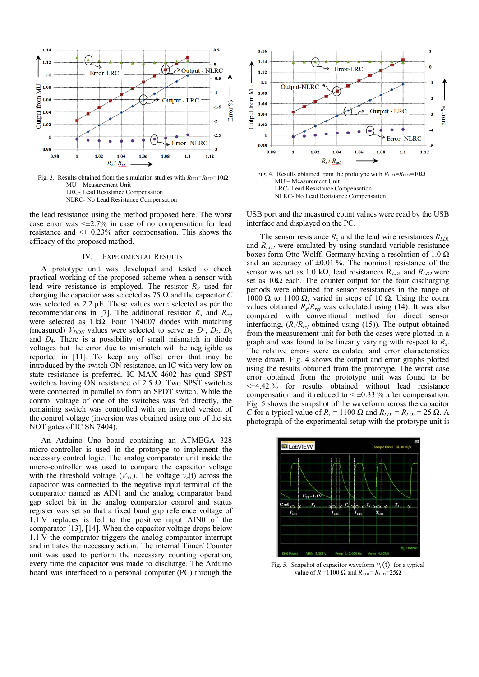

Fig. 3. Results obtained from the simulation studies with  $R_{LD1} = R_{LD2} = 10\Omega$ MU – Measurement Unit LRC- Lead Resistance Compensation NLRC- No Lead Resistance Compensation

the lead resistance using the method proposed here. The worst case error was  $\leq \pm 2.7\%$  in case of no compensation for lead resistance and  $\leq \pm 0.23\%$  after compensation. This shows the efficacy of the proposed method.

#### IV. EXPERIMENTAL RESULTS

A prototype unit was developed and tested to check practical working of the proposed scheme when a sensor with lead wire resistance is employed. The resistor  $R_p$  used for charging the capacitor was selected as 75 Ω and the capacitor *C* was selected as 2.2 µF. These values were selected as per the recommendations in [7]. The additional resistor  $R_s$  and  $R_{ref}$ were selected as  $1 k\Omega$ . Four 1N4007 diodes with matching (measured)  $V_{DON}$  values were selected to serve as  $D_1$ ,  $D_2$ ,  $D_3$ and *D*4. There is a possibility of small mismatch in diode voltages but the error due to mismatch will be negligible as reported in [11]. To keep any offset error that may be introduced by the switch ON resistance, an IC with very low on state resistance is preferred. IC MAX 4602 has quad SPST switches having ON resistance of 2.5  $Ω$ . Two SPST switches were connected in parallel to form an SPDT switch. While the control voltage of one of the switches was fed directly, the remaining switch was controlled with an inverted version of the control voltage (inversion was obtained using one of the six NOT gates of IC SN 7404).

An Arduino Uno board containing an ATMEGA 328 micro-controller is used in the prototype to implement the necessary control logic. The analog comparator unit inside the micro-controller was used to compare the capacitor voltage with the threshold voltage  $(V_{TL})$ . The voltage  $v_c(t)$  across the capacitor was connected to the negative input terminal of the comparator named as AIN1 and the analog comparator band gap select bit in the analog comparator control and status register was set so that a fixed band gap reference voltage of 1.1 V replaces is fed to the positive input AIN0 of the comparator [13], [14]. When the capacitor voltage drops below 1.1 V the comparator triggers the analog comparator interrupt and initiates the necessary action. The internal Timer/ Counter unit was used to perform the necessary counting operation, every time the capacitor was made to discharge. The Arduino board was interfaced to a personal computer (PC) through the





USB port and the measured count values were read by the USB interface and displayed on the PC.

The sensor resistance  $R_x$  and the lead wire resistances  $R_{LD1}$ and *R<sub>LD2</sub>* were emulated by using standard variable resistance boxes form Otto Wolff, Germany having a resolution of 1.0  $\Omega$ and an accuracy of  $\pm 0.01$  %. The nominal resistance of the sensor was set as 1.0 kΩ, lead resistances R*LD*1 and *RLD*2 were set as  $10\Omega$  each. The counter output for the four discharging periods were obtained for sensor resistances in the range of 1000 Ω to 1100 Ω, varied in steps of 10 Ω. Using the count values obtained  $R_x/R_{ref}$  was calculated using (14). It was also compared with conventional method for direct sensor interfacing,  $(R_x/R_{ref}$  obtained using (15)). The output obtained from the measurement unit for both the cases were plotted in a graph and was found to be linearly varying with respect to *R<sup>x</sup>* . The relative errors were calculated and error characteristics were drawn. Fig. 4 shows the output and error graphs plotted using the results obtained from the prototype. The worst case error obtained from the prototype unit was found to be  $\leq \pm 4.42 \%$  for results obtained without lead resistance compensation and it reduced to  $\leq \pm 0.33$  % after compensation. Fig. 5 shows the snapshot of the waveform across the capacitor *C* for a typical value of  $R_x = 1100 \Omega$  and  $R_{LD1} = R_{LD2} = 25 \Omega$ . A photograph of the experimental setup with the prototype unit is



Fig. 5. Snapshot of capacitor waveform  $v_c(t)$  for a typical value of  $R_x$ =1100 Ω and  $R$ <sub>LD1</sub>=  $R$ <sub>LD2</sub>=25Ω